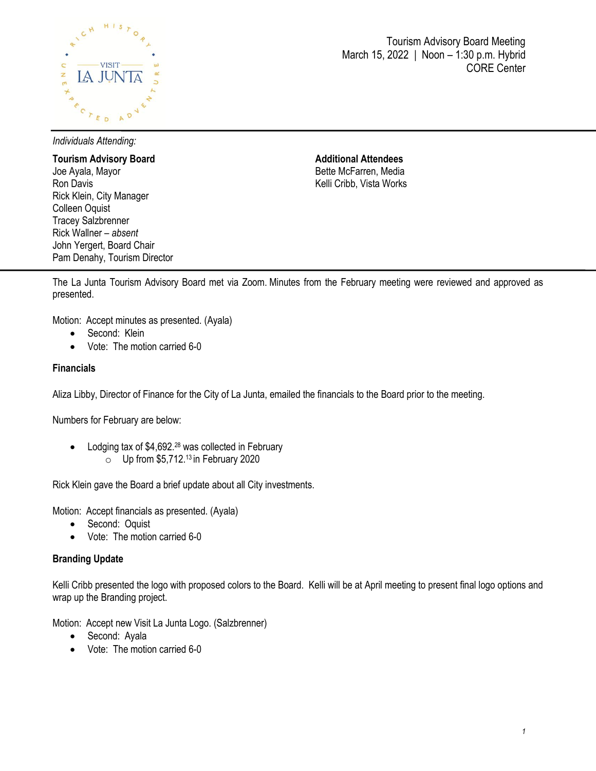

Tourism Advisory Board Meeting March 15, 2022 | Noon – 1:30 p.m. Hybrid CORE Center

*Individuals Attending:*

**Tourism Advisory Board**  Joe Ayala, Mayor Ron Davis Rick Klein, City Manager Colleen Oquist Tracey Salzbrenner Rick Wallner – *absent* John Yergert, Board Chair Pam Denahy, Tourism Director **Additional Attendees** Bette McFarren, Media Kelli Cribb, Vista Works

The La Junta Tourism Advisory Board met via Zoom. Minutes from the February meeting were reviewed and approved as presented.

Motion: Accept minutes as presented. (Ayala)

- Second: Klein
- Vote: The motion carried 6-0

### **Financials**

Aliza Libby, Director of Finance for the City of La Junta, emailed the financials to the Board prior to the meeting.

Numbers for February are below:

• Lodging tax of \$4,692.<sup>28</sup> was collected in February  $\circ$  Up from \$5,712.<sup>13</sup> in February 2020

Rick Klein gave the Board a brief update about all City investments.

Motion: Accept financials as presented. (Ayala)

- Second: Oquist
- Vote: The motion carried 6-0

### **Branding Update**

Kelli Cribb presented the logo with proposed colors to the Board. Kelli will be at April meeting to present final logo options and wrap up the Branding project.

Motion: Accept new Visit La Junta Logo. (Salzbrenner)

- Second: Ayala
- Vote: The motion carried 6-0